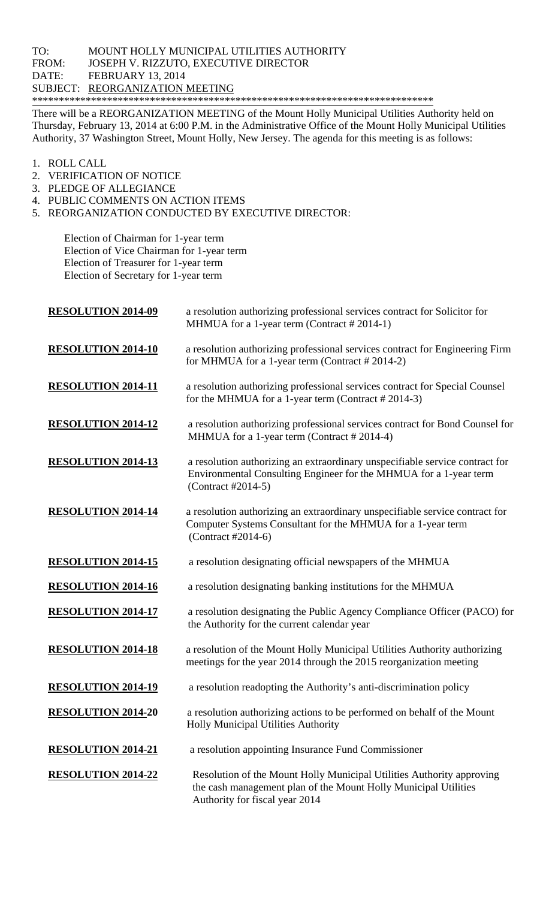## TO: MOUNT HOLLY MUNICIPAL UTILITIES AUTHORITY FROM: JOSEPH V. RIZZUTO, EXECUTIVE DIRECTOR DATE: FEBRUARY 13, 2014 SUBJECT: REORGANIZATION MEETING \*\*\*\*\*\*\*\*\*\*\*\*\*\*\*\*\*\*\*\*\*\*\*\*\*\*\*\*\*\*\*\*\*\*\*\*\*\*\*\*\*\*\*\*\*\*\*\*\*\*\*\*\*\*\*\*\*\*\*\*\*\*\*\*\*\*\*\*\*\*\*\*\*\*\*

There will be a REORGANIZATION MEETING of the Mount Holly Municipal Utilities Authority held on Thursday, February 13, 2014 at 6:00 P.M. in the Administrative Office of the Mount Holly Municipal Utilities Authority, 37 Washington Street, Mount Holly, New Jersey. The agenda for this meeting is as follows:

- 1. ROLL CALL
- 2. VERIFICATION OF NOTICE
- 3. PLEDGE OF ALLEGIANCE
- 4. PUBLIC COMMENTS ON ACTION ITEMS
- 5. REORGANIZATION CONDUCTED BY EXECUTIVE DIRECTOR:

 Election of Chairman for 1-year term Election of Vice Chairman for 1-year term Election of Treasurer for 1-year term Election of Secretary for 1-year term

| <b>RESOLUTION 2014-09</b> | a resolution authorizing professional services contract for Solicitor for<br>MHMUA for a 1-year term (Contract # 2014-1)                                                   |
|---------------------------|----------------------------------------------------------------------------------------------------------------------------------------------------------------------------|
| <b>RESOLUTION 2014-10</b> | a resolution authorizing professional services contract for Engineering Firm<br>for MHMUA for a 1-year term (Contract #2014-2)                                             |
| <b>RESOLUTION 2014-11</b> | a resolution authorizing professional services contract for Special Counsel<br>for the MHMUA for a 1-year term (Contract #2014-3)                                          |
| <b>RESOLUTION 2014-12</b> | a resolution authorizing professional services contract for Bond Counsel for<br>MHMUA for a 1-year term (Contract #2014-4)                                                 |
| <b>RESOLUTION 2014-13</b> | a resolution authorizing an extraordinary unspecifiable service contract for<br>Environmental Consulting Engineer for the MHMUA for a 1-year term<br>(Contract #2014-5)    |
| <b>RESOLUTION 2014-14</b> | a resolution authorizing an extraordinary unspecifiable service contract for<br>Computer Systems Consultant for the MHMUA for a 1-year term<br>(Contract #2014-6)          |
| <b>RESOLUTION 2014-15</b> | a resolution designating official newspapers of the MHMUA                                                                                                                  |
| <b>RESOLUTION 2014-16</b> | a resolution designating banking institutions for the MHMUA                                                                                                                |
| <b>RESOLUTION 2014-17</b> | a resolution designating the Public Agency Compliance Officer (PACO) for<br>the Authority for the current calendar year                                                    |
| <b>RESOLUTION 2014-18</b> | a resolution of the Mount Holly Municipal Utilities Authority authorizing<br>meetings for the year 2014 through the 2015 reorganization meeting                            |
| <b>RESOLUTION 2014-19</b> | a resolution readopting the Authority's anti-discrimination policy                                                                                                         |
| <b>RESOLUTION 2014-20</b> | a resolution authorizing actions to be performed on behalf of the Mount<br><b>Holly Municipal Utilities Authority</b>                                                      |
| <b>RESOLUTION 2014-21</b> | a resolution appointing Insurance Fund Commissioner                                                                                                                        |
| <b>RESOLUTION 2014-22</b> | Resolution of the Mount Holly Municipal Utilities Authority approving<br>the cash management plan of the Mount Holly Municipal Utilities<br>Authority for fiscal year 2014 |